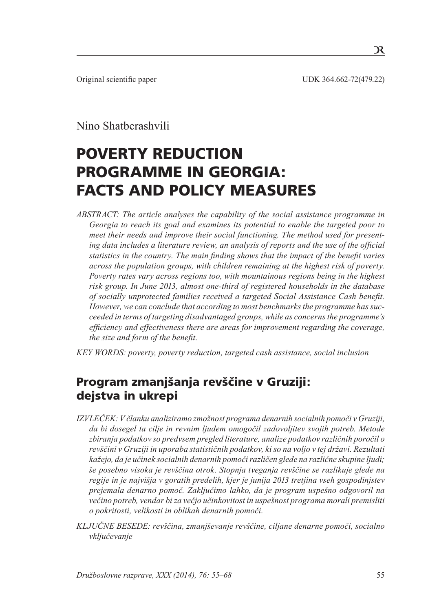Original scientific paper UDK 364.662-72(479.22)

# Nino Shatberashvili

# POVERTY REDUCTION programme in Georgia: Facts and policy measures

*ABSTRACT: The article analyses the capability of the social assistance programme in Georgia to reach its goal and examines its potential to enable the targeted poor to meet their needs and improve their social functioning. The method used for presenting data includes a literature review, an analysis of reports and the use of the official statistics in the country. The main finding shows that the impact of the benefit varies across the population groups, with children remaining at the highest risk of poverty. Poverty rates vary across regions too, with mountainous regions being in the highest risk group. In June 2013, almost one-third of registered households in the database of socially unprotected families received a targeted Social Assistance Cash benefit. However, we can conclude that according to most benchmarks the programme has succeeded in terms of targeting disadvantaged groups, while as concerns the programme's efficiency and effectiveness there are areas for improvement regarding the coverage, the size and form of the benefit.*

*KEY WORDS: poverty, poverty reduction, targeted cash assistance, social inclusion*

# Program zmanjšanja revščine v Gruziji: dejstva in ukrepi

- *IZVLEČEK: V članku analiziramo zmožnost programa denarnih socialnih pomoči v Gruziji, da bi dosegel ta cilje in revnim ljudem omogočil zadovoljitev svojih potreb. Metode zbiranja podatkov so predvsem pregled literature, analize podatkov različnih poročil o revščini v Gruziji in uporaba statističnih podatkov, ki so na voljo v tej državi. Rezultati kažejo, da je učinek socialnih denarnih pomoči različen glede na različne skupine ljudi; še posebno visoka je revščina otrok. Stopnja tveganja revščine se razlikuje glede na regije in je najvišja v goratih predelih, kjer je junija 2013 tretjina vseh gospodinjstev prejemala denarno pomoč. Zaključimo lahko, da je program uspešno odgovoril na večino potreb, vendar bi za večjo učinkovitost in uspešnost programa morali premisliti o pokritosti, velikosti in oblikah denarnih pomoči.*
- *KLJUČNE BESEDE: revščina, zmanjševanje revščine, ciljane denarne pomoči, socialno vključevanje*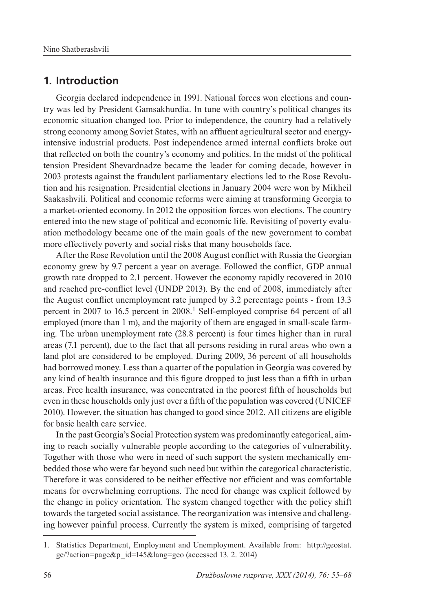### **1. Introduction**

Georgia declared independence in 1991. National forces won elections and country was led by President Gamsakhurdia. In tune with country's political changes its economic situation changed too. Prior to independence, the country had a relatively strong economy among Soviet States, with an affluent agricultural sector and energyintensive industrial products. Post independence armed internal conflicts broke out that reflected on both the country's economy and politics. In the midst of the political tension President Shevardnadze became the leader for coming decade, however in 2003 protests against the fraudulent parliamentary elections led to the Rose Revolution and his resignation. Presidential elections in January 2004 were won by Mikheil Saakashvili. Political and economic reforms were aiming at transforming Georgia to a market-oriented economy. In 2012 the opposition forces won elections. The country entered into the new stage of political and economic life. Revisiting of poverty evaluation methodology became one of the main goals of the new government to combat more effectively poverty and social risks that many households face.

After the Rose Revolution until the 2008 August conflict with Russia the Georgian economy grew by 9.7 percent a year on average. Followed the conflict, GDP annual growth rate dropped to 2.1 percent. However the economy rapidly recovered in 2010 and reached pre-conflict level (UNDP 2013). By the end of 2008, immediately after the August conflict unemployment rate jumped by 3.2 percentage points - from 13.3 percent in 2007 to 16.5 percent in 2008.1 Self-employed comprise 64 percent of all employed (more than 1 m), and the majority of them are engaged in small-scale farming. The urban unemployment rate (28.8 percent) is four times higher than in rural areas (7.1 percent), due to the fact that all persons residing in rural areas who own a land plot are considered to be employed. During 2009, 36 percent of all households had borrowed money. Less than a quarter of the population in Georgia was covered by any kind of health insurance and this figure dropped to just less than a fifth in urban areas. Free health insurance, was concentrated in the poorest fifth of households but even in these households only just over a fifth of the population was covered (UNICEF 2010). However, the situation has changed to good since 2012. All citizens are eligible for basic health care service.

In the past Georgia's Social Protection system was predominantly categorical, aiming to reach socially vulnerable people according to the categories of vulnerability. Together with those who were in need of such support the system mechanically embedded those who were far beyond such need but within the categorical characteristic. Therefore it was considered to be neither effective nor efficient and was comfortable means for overwhelming corruptions. The need for change was explicit followed by the change in policy orientation. The system changed together with the policy shift towards the targeted social assistance. The reorganization was intensive and challenging however painful process. Currently the system is mixed, comprising of targeted

<sup>1.</sup> Statistics Department, Employment and Unemployment. Available from: http://geostat. ge/?action=page&p\_id=145&lang=geo (accessed 13. 2. 2014)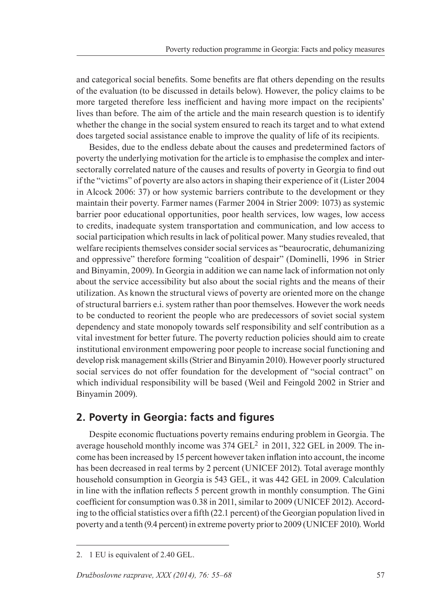and categorical social benefits. Some benefits are flat others depending on the results of the evaluation (to be discussed in details below). However, the policy claims to be more targeted therefore less inefficient and having more impact on the recipients' lives than before. The aim of the article and the main research question is to identify whether the change in the social system ensured to reach its target and to what extend does targeted social assistance enable to improve the quality of life of its recipients.

Besides, due to the endless debate about the causes and predetermined factors of poverty the underlying motivation for the article is to emphasise the complex and intersectorally correlated nature of the causes and results of poverty in Georgia to find out if the "victims" of poverty are also actors in shaping their experience of it (Lister 2004 in Alcock 2006: 37) or how systemic barriers contribute to the development or they maintain their poverty. Farmer names (Farmer 2004 in Strier 2009: 1073) as systemic barrier poor educational opportunities, poor health services, low wages, low access to credits, inadequate system transportation and communication, and low access to social participation which results in lack of political power. Many studies revealed, that welfare recipients themselves consider social services as "beaurocratic, dehumanizing and oppressive" therefore forming "coalition of despair" (Dominelli, 1996 in Strier and Binyamin, 2009). In Georgia in addition we can name lack of information not only about the service accessibility but also about the social rights and the means of their utilization. As known the structural views of poverty are oriented more on the change of structural barriers e.i. system rather than poor themselves. However the work needs to be conducted to reorient the people who are predecessors of soviet social system dependency and state monopoly towards self responsibility and self contribution as a vital investment for better future. The poverty reduction policies should aim to create institutional environment empowering poor people to increase social functioning and develop risk management skills (Strier and Binyamin 2010). However poorly structured social services do not offer foundation for the development of "social contract" on which individual responsibility will be based (Weil and Feingold 2002 in Strier and Binyamin 2009).

## **2. Poverty in Georgia: facts and figures**

Despite economic fluctuations poverty remains enduring problem in Georgia. The average household monthly income was 374 GEL<sup>2</sup> in 2011, 322 GEL in 2009. The income has been increased by 15 percent however taken inflation into account, the income has been decreased in real terms by 2 percent (UNICEF 2012). Total average monthly household consumption in Georgia is 543 GEL, it was 442 GEL in 2009. Calculation in line with the inflation reflects 5 percent growth in monthly consumption. The Gini coefficient for consumption was 0.38 in 2011, similar to 2009 (UNICEF 2012). According to the official statistics over a fifth (22.1 percent) of the Georgian population lived in poverty and a tenth (9.4 percent) in extreme poverty prior to 2009 (UNICEF 2010). World

<sup>2.</sup> 1 EU is equivalent of 2.40 GEL.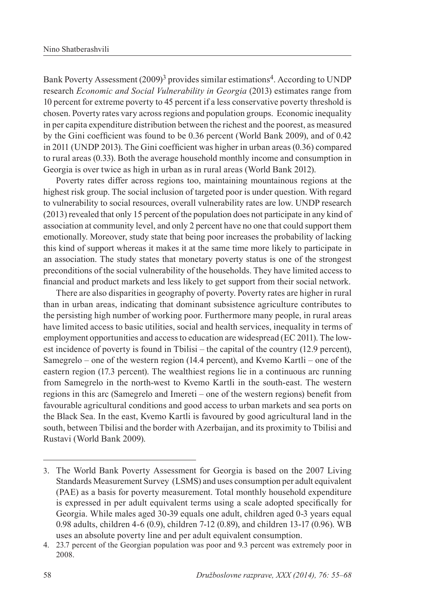Bank Poverty Assessment (2009)<sup>3</sup> provides similar estimations<sup>4</sup>. According to UNDP research *Economic and Social Vulnerability in Georgia* (2013) estimates range from 10 percent for extreme poverty to 45 percent if a less conservative poverty threshold is chosen. Poverty rates vary across regions and population groups. Economic inequality in per capita expenditure distribution between the richest and the poorest, as measured by the Gini coefficient was found to be 0.36 percent (World Bank 2009), and of 0.42 in 2011 (UNDP 2013). The Gini coefficient was higher in urban areas (0.36) compared to rural areas (0.33). Both the average household monthly income and consumption in Georgia is over twice as high in urban as in rural areas (World Bank 2012).

Poverty rates differ across regions too, maintaining mountainous regions at the highest risk group. The social inclusion of targeted poor is under question. With regard to vulnerability to social resources, overall vulnerability rates are low. UNDP research (2013) revealed that only 15 percent of the population does not participate in any kind of association at community level, and only 2 percent have no one that could support them emotionally. Moreover, study state that being poor increases the probability of lacking this kind of support whereas it makes it at the same time more likely to participate in an association. The study states that monetary poverty status is one of the strongest preconditions of the social vulnerability of the households. They have limited access to financial and product markets and less likely to get support from their social network.

There are also disparities in geography of poverty. Poverty rates are higher in rural than in urban areas, indicating that dominant subsistence agriculture contributes to the persisting high number of working poor. Furthermore many people, in rural areas have limited access to basic utilities, social and health services, inequality in terms of employment opportunities and access to education are widespread (EC 2011). The lowest incidence of poverty is found in Tbilisi – the capital of the country (12.9 percent), Samegrelo – one of the western region (14.4 percent), and Kvemo Kartli – one of the eastern region (17.3 percent). The wealthiest regions lie in a continuous arc running from Samegrelo in the north-west to Kvemo Kartli in the south-east. The western regions in this arc (Samegrelo and Imereti – one of the western regions) benefit from favourable agricultural conditions and good access to urban markets and sea ports on the Black Sea. In the east, Kvemo Kartli is favoured by good agricultural land in the south, between Tbilisi and the border with Azerbaijan, and its proximity to Tbilisi and Rustavi (World Bank 2009).

<sup>3.</sup> The World Bank Poverty Assessment for Georgia is based on the 2007 Living Standards Measurement Survey (LSMS) and uses consumption per adult equivalent (PAE) as a basis for poverty measurement. Total monthly household expenditure is expressed in per adult equivalent terms using a scale adopted specifically for Georgia. While males aged 30-39 equals one adult, children aged 0-3 years equal 0.98 adults, children 4-6 (0.9), children 7-12 (0.89), and children 13-17 (0.96). WB uses an absolute poverty line and per adult equivalent consumption.

<sup>4.</sup> 23.7 percent of the Georgian population was poor and 9.3 percent was extremely poor in 2008.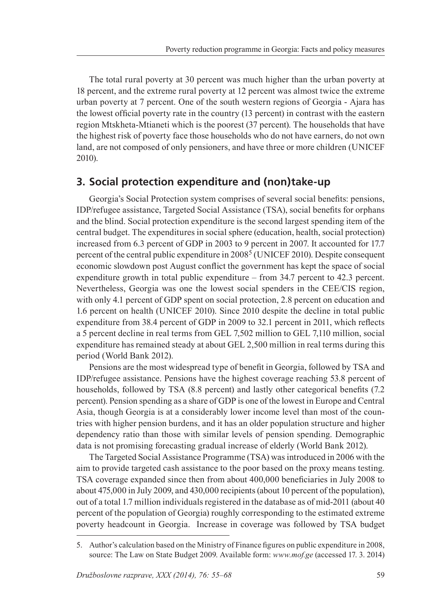The total rural poverty at 30 percent was much higher than the urban poverty at 18 percent, and the extreme rural poverty at 12 percent was almost twice the extreme urban poverty at 7 percent. One of the south western regions of Georgia - Ajara has the lowest official poverty rate in the country (13 percent) in contrast with the eastern region Mtskheta-Mtianeti which is the poorest (37 percent). The households that have the highest risk of poverty face those households who do not have earners, do not own land, are not composed of only pensioners, and have three or more children (UNICEF 2010).

### **3. Social protection expenditure and (non)take-up**

Georgia's Social Protection system comprises of several social benefits: pensions, IDP/refugee assistance, Targeted Social Assistance (TSA), social benefits for orphans and the blind. Social protection expenditure is the second largest spending item of the central budget. The expenditures in social sphere (education, health, social protection) increased from 6.3 percent of GDP in 2003 to 9 percent in 2007. It accounted for 17.7 percent of the central public expenditure in  $2008^5$  (UNICEF 2010). Despite consequent economic slowdown post August conflict the government has kept the space of social expenditure growth in total public expenditure – from 34.7 percent to 42.3 percent. Nevertheless, Georgia was one the lowest social spenders in the CEE/CIS region, with only 4.1 percent of GDP spent on social protection, 2.8 percent on education and 1.6 percent on health (UNICEF 2010). Since 2010 despite the decline in total public expenditure from 38.4 percent of GDP in 2009 to 32.1 percent in 2011, which reflects a 5 percent decline in real terms from GEL 7,502 million to GEL 7,110 million, social expenditure has remained steady at about GEL 2,500 million in real terms during this period (World Bank 2012).

Pensions are the most widespread type of benefit in Georgia, followed by TSA and IDP/refugee assistance. Pensions have the highest coverage reaching 53.8 percent of households, followed by TSA (8.8 percent) and lastly other categorical benefits (7.2 percent). Pension spending as a share of GDP is one of the lowest in Europe and Central Asia, though Georgia is at a considerably lower income level than most of the countries with higher pension burdens, and it has an older population structure and higher dependency ratio than those with similar levels of pension spending. Demographic data is not promising forecasting gradual increase of elderly (World Bank 2012).

The Targeted Social Assistance Programme (TSA) was introduced in 2006 with the aim to provide targeted cash assistance to the poor based on the proxy means testing. TSA coverage expanded since then from about 400,000 beneficiaries in July 2008 to about 475,000 in July 2009, and 430,000 recipients (about 10 percent of the population), out of a total 1.7 million individuals registered in the database as of mid-2011 (about 40 percent of the population of Georgia) roughly corresponding to the estimated extreme poverty headcount in Georgia. Increase in coverage was followed by TSA budget

<sup>5</sup>. Author's calculation based on the Ministry of Finance figures on public expenditure in 2008, source: The Law on State Budget 2009. Available form: *www.mof.ge* (accessed 17. 3. 2014)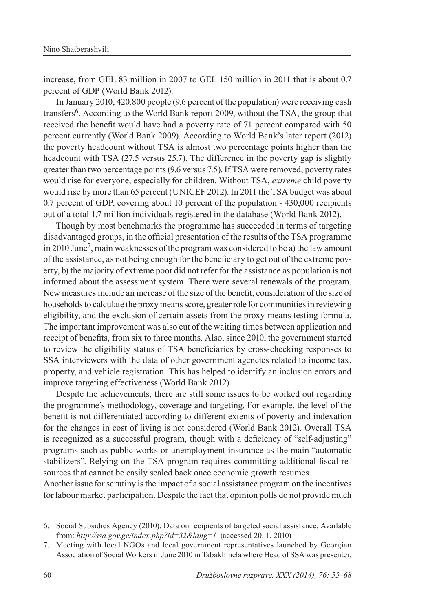increase, from GEL 83 million in 2007 to GEL 150 million in 2011 that is about 0.7 percent of GDP (World Bank 2012).

In January 2010, 420.800 people (9.6 percent of the population) were receiving cash transfers6. According to the World Bank report 2009, without the TSA, the group that received the benefit would have had a poverty rate of 71 percent compared with 50 percent currently (World Bank 2009). According to World Bank's later report (2012) the poverty headcount without TSA is almost two percentage points higher than the headcount with TSA (27.5 versus 25.7). The difference in the poverty gap is slightly greater than two percentage points (9.6 versus 7.5). If TSA were removed, poverty rates would rise for everyone, especially for children. Without TSA, *extreme* child poverty would rise by more than 65 percent (UNICEF 2012). In 2011 the TSA budget was about 0.7 percent of GDP, covering about 10 percent of the population - 430,000 recipients out of a total 1.7 million individuals registered in the database (World Bank 2012).

Though by most benchmarks the programme has succeeded in terms of targeting disadvantaged groups, in the official presentation of the results of the TSA programme in 2010 June7, main weaknesses of the program was considered to be a) the law amount of the assistance, as not being enough for the beneficiary to get out of the extreme poverty, b) the majority of extreme poor did not refer for the assistance as population is not informed about the assessment system. There were several renewals of the program. New measures include an increase of the size of the benefit, consideration of the size of households to calculate the proxy means score, greater role for communities in reviewing eligibility, and the exclusion of certain assets from the proxy-means testing formula. The important improvement was also cut of the waiting times between application and receipt of benefits, from six to three months. Also, since 2010, the government started to review the eligibility status of TSA beneficiaries by cross-checking responses to SSA interviewers with the data of other government agencies related to income tax, property, and vehicle registration. This has helped to identify an inclusion errors and improve targeting effectiveness (World Bank 2012).

Despite the achievements, there are still some issues to be worked out regarding the programme's methodology, coverage and targeting. For example, the level of the benefit is not differentiated according to different extents of poverty and indexation for the changes in cost of living is not considered (World Bank 2012). Overall TSA is recognized as a successful program, though with a deficiency of "self-adjusting" programs such as public works or unemployment insurance as the main "automatic stabilizers". Relying on the TSA program requires committing additional fiscal resources that cannot be easily scaled back once economic growth resumes.

Another issue for scrutiny is the impact of a social assistance program on the incentives for labour market participation. Despite the fact that opinion polls do not provide much

<sup>6.</sup> Social Subsidies Agency (2010): Data on recipients of targeted social assistance. Available from: *http://ssa.gov.ge/index.php?id=32&lang=1* (accessed 20. 1. 2010)

<sup>7.</sup> Meeting with local NGOs and local government representatives launched by Georgian Association of Social Workers in June 2010 in Tabakhmela where Head of SSA was presenter.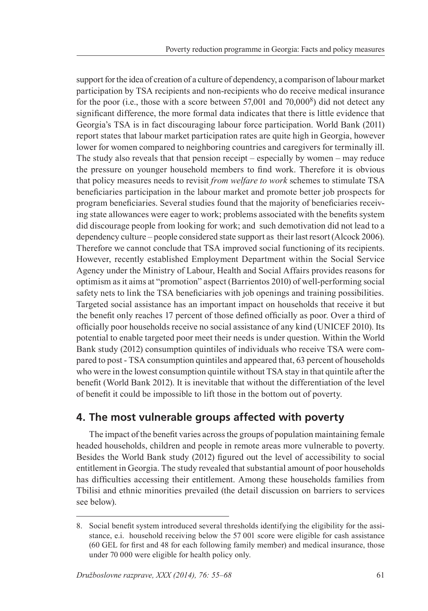support for the idea of creation of a culture of dependency, a comparison of labour market participation by TSA recipients and non-recipients who do receive medical insurance for the poor (i.e., those with a score between  $57,001$  and  $70,000^8$ ) did not detect any significant difference, the more formal data indicates that there is little evidence that Georgia's TSA is in fact discouraging labour force participation. World Bank (2011) report states that labour market participation rates are quite high in Georgia, however lower for women compared to neighboring countries and caregivers for terminally ill. The study also reveals that that pension receipt – especially by women – may reduce the pressure on younger household members to find work. Therefore it is obvious that policy measures needs to revisit *from welfare to work* schemes to stimulate TSA beneficiaries participation in the labour market and promote better job prospects for program beneficiaries. Several studies found that the majority of beneficiaries receiving state allowances were eager to work; problems associated with the benefits system did discourage people from looking for work; and such demotivation did not lead to a dependency culture – people considered state support as their last resort (Alcock 2006). Therefore we cannot conclude that TSA improved social functioning of its recipients. However, recently established Employment Department within the Social Service Agency under the Ministry of Labour, Health and Social Affairs provides reasons for optimism as it aims at "promotion" aspect (Barrientos 2010) of well-performing social safety nets to link the TSA beneficiaries with job openings and training possibilities. Targeted social assistance has an important impact on households that receive it but the benefit only reaches 17 percent of those defined officially as poor. Over a third of officially poor households receive no social assistance of any kind (UNICEF 2010). Its potential to enable targeted poor meet their needs is under question. Within the World Bank study (2012) consumption quintiles of individuals who receive TSA were compared to post - TSA consumption quintiles and appeared that, 63 percent of households who were in the lowest consumption quintile without TSA stay in that quintile after the benefit (World Bank 2012). It is inevitable that without the differentiation of the level of benefit it could be impossible to lift those in the bottom out of poverty.

## **4. The most vulnerable groups affected with poverty**

The impact of the benefit varies across the groups of population maintaining female headed households, children and people in remote areas more vulnerable to poverty. Besides the World Bank study (2012) figured out the level of accessibility to social entitlement in Georgia. The study revealed that substantial amount of poor households has difficulties accessing their entitlement. Among these households families from Tbilisi and ethnic minorities prevailed (the detail discussion on barriers to services see below).

<sup>8.</sup> Social benefit system introduced several thresholds identifying the eligibility for the assistance, e.i. household receiving below the 57 001 score were eligible for cash assistance (60 GEL for first and 48 for each following family member) and medical insurance, those under 70 000 were eligible for health policy only.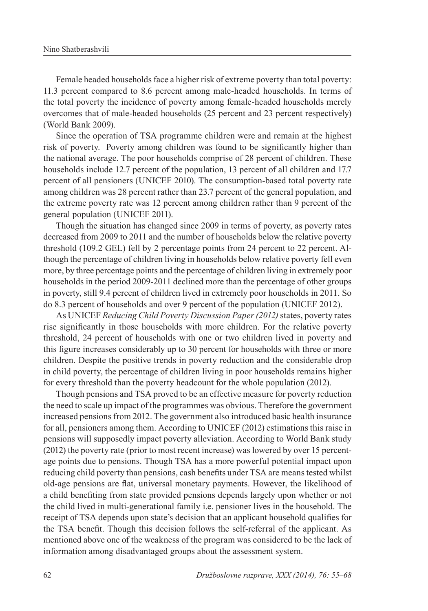Female headed households face a higher risk of extreme poverty than total poverty: 11.3 percent compared to 8.6 percent among male-headed households. In terms of the total poverty the incidence of poverty among female-headed households merely overcomes that of male-headed households (25 percent and 23 percent respectively) (World Bank 2009).

Since the operation of TSA programme children were and remain at the highest risk of poverty. Poverty among children was found to be significantly higher than the national average. The poor households comprise of 28 percent of children. These households include 12.7 percent of the population, 13 percent of all children and 17.7 percent of all pensioners (UNICEF 2010). The consumption-based total poverty rate among children was 28 percent rather than 23.7 percent of the general population, and the extreme poverty rate was 12 percent among children rather than 9 percent of the general population (UNICEF 2011).

Though the situation has changed since 2009 in terms of poverty, as poverty rates decreased from 2009 to 2011 and the number of households below the relative poverty threshold (109.2 GEL) fell by 2 percentage points from 24 percent to 22 percent. Although the percentage of children living in households below relative poverty fell even more, by three percentage points and the percentage of children living in extremely poor households in the period 2009-2011 declined more than the percentage of other groups in poverty, still 9.4 percent of children lived in extremely poor households in 2011. So do 8.3 percent of households and over 9 percent of the population (UNICEF 2012).

As UNICEF *Reducing Child Poverty Discussion Paper (2012)* states, poverty rates rise significantly in those households with more children. For the relative poverty threshold, 24 percent of households with one or two children lived in poverty and this figure increases considerably up to 30 percent for households with three or more children. Despite the positive trends in poverty reduction and the considerable drop in child poverty, the percentage of children living in poor households remains higher for every threshold than the poverty headcount for the whole population (2012).

Though pensions and TSA proved to be an effective measure for poverty reduction the need to scale up impact of the programmes was obvious. Therefore the government increased pensions from 2012. The government also introduced basic health insurance for all, pensioners among them. According to UNICEF (2012) estimations this raise in pensions will supposedly impact poverty alleviation. According to World Bank study (2012) the poverty rate (prior to most recent increase) was lowered by over 15 percentage points due to pensions. Though TSA has a more powerful potential impact upon reducing child poverty than pensions, cash benefits under TSA are means tested whilst old-age pensions are flat, universal monetary payments. However, the likelihood of a child benefiting from state provided pensions depends largely upon whether or not the child lived in multi-generational family i.e. pensioner lives in the household. The receipt of TSA depends upon state's decision that an applicant household qualifies for the TSA benefit. Though this decision follows the self-referral of the applicant. As mentioned above one of the weakness of the program was considered to be the lack of information among disadvantaged groups about the assessment system.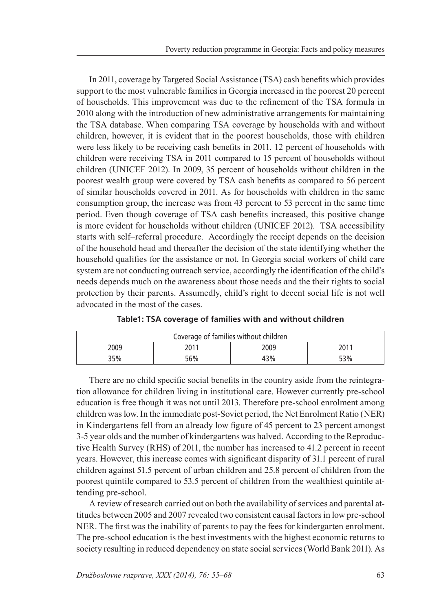In 2011, coverage by Targeted Social Assistance (TSA) cash benefits which provides support to the most vulnerable families in Georgia increased in the poorest 20 percent of households. This improvement was due to the refinement of the TSA formula in 2010 along with the introduction of new administrative arrangements for maintaining the TSA database. When comparing TSA coverage by households with and without children, however, it is evident that in the poorest households, those with children were less likely to be receiving cash benefits in 2011. 12 percent of households with children were receiving TSA in 2011 compared to 15 percent of households without children (UNICEF 2012). In 2009, 35 percent of households without children in the poorest wealth group were covered by TSA cash benefits as compared to 56 percent of similar households covered in 2011. As for households with children in the same consumption group, the increase was from 43 percent to 53 percent in the same time period. Even though coverage of TSA cash benefits increased, this positive change is more evident for households without children (UNICEF 2012). TSA accessibility starts with self–referral procedure. Accordingly the receipt depends on the decision of the household head and thereafter the decision of the state identifying whether the household qualifies for the assistance or not. In Georgia social workers of child care system are not conducting outreach service, accordingly the identification of the child's needs depends much on the awareness about those needs and the their rights to social protection by their parents. Assumedly, child's right to decent social life is not well advocated in the most of the cases.

| Coverage of families without children |      |      |      |  |  |
|---------------------------------------|------|------|------|--|--|
| 2009                                  | 2011 | 2009 | 2011 |  |  |
| 35%                                   | 56%  | 43%  | 53%  |  |  |

**Table1: TSA coverage of families with and without children**

There are no child specific social benefits in the country aside from the reintegration allowance for children living in institutional care. However currently pre-school education is free though it was not until 2013. Therefore pre-school enrolment among children was low. In the immediate post-Soviet period, the Net Enrolment Ratio (NER) in Kindergartens fell from an already low figure of 45 percent to 23 percent amongst 3-5 year olds and the number of kindergartens was halved. According to the Reproductive Health Survey (RHS) of 2011, the number has increased to 41.2 percent in recent years. However, this increase comes with significant disparity of 31.1 percent of rural children against 51.5 percent of urban children and 25.8 percent of children from the poorest quintile compared to 53.5 percent of children from the wealthiest quintile attending pre-school.

A review of research carried out on both the availability of services and parental attitudes between 2005 and 2007 revealed two consistent causal factors in low pre-school NER. The first was the inability of parents to pay the fees for kindergarten enrolment. The pre-school education is the best investments with the highest economic returns to society resulting in reduced dependency on state social services (World Bank 2011). As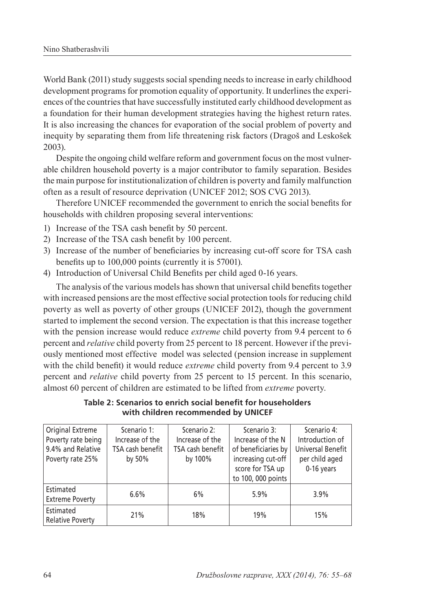World Bank (2011) study suggests social spending needs to increase in early childhood development programs for promotion equality of opportunity. It underlines the experiences of the countries that have successfully instituted early childhood development as a foundation for their human development strategies having the highest return rates. It is also increasing the chances for evaporation of the social problem of poverty and inequity by separating them from life threatening risk factors (Dragoš and Leskošek 2003).

Despite the ongoing child welfare reform and government focus on the most vulnerable children household poverty is a major contributor to family separation. Besides the main purpose for institutionalization of children is poverty and family malfunction often as a result of resource deprivation (UNICEF 2012; SOS CVG 2013).

Therefore UNICEF recommended the government to enrich the social benefits for households with children proposing several interventions:

- 1) Increase of the TSA cash benefit by 50 percent.
- 2) Increase of the TSA cash benefit by 100 percent.
- 3) Increase of the number of beneficiaries by increasing cut-off score for TSA cash benefits up to 100,000 points (currently it is 57001).
- 4) Introduction of Universal Child Benefits per child aged 0-16 years.

The analysis of the various models has shown that universal child benefits together with increased pensions are the most effective social protection tools for reducing child poverty as well as poverty of other groups (UNICEF 2012), though the government started to implement the second version. The expectation is that this increase together with the pension increase would reduce *extreme* child poverty from 9.4 percent to 6 percent and *relative* child poverty from 25 percent to 18 percent. However if the previously mentioned most effective model was selected (pension increase in supplement with the child benefit) it would reduce *extreme* child poverty from 9.4 percent to 3.9 percent and *relative* child poverty from 25 percent to 15 percent. In this scenario, almost 60 percent of children are estimated to be lifted from *extreme* poverty.

**Table 2: Scenarios to enrich social benefit for householders with children recommended by UNICEF**

| Original Extreme        | Scenario 1:      | Scenario 2:      | Scenario 3:         | Scenario 4:              |
|-------------------------|------------------|------------------|---------------------|--------------------------|
| Poverty rate being      | Increase of the  | Increase of the  | Increase of the N   | Introduction of          |
| 9.4% and Relative       | TSA cash benefit | TSA cash benefit | of beneficiaries by | <b>Universal Benefit</b> |
| Poverty rate 25%        | by 50%           | by 100%          | increasing cut-off  | per child aged           |
|                         |                  |                  | score for TSA up    | 0-16 years               |
|                         |                  |                  | to 100, 000 points  |                          |
| Estimated               | 6.6%             | 6%               | 5.9%                | 3.9%                     |
| <b>Extreme Poverty</b>  |                  |                  |                     |                          |
| Estimated               | 21%              | 18%              | 19%                 | 15%                      |
| <b>Relative Poverty</b> |                  |                  |                     |                          |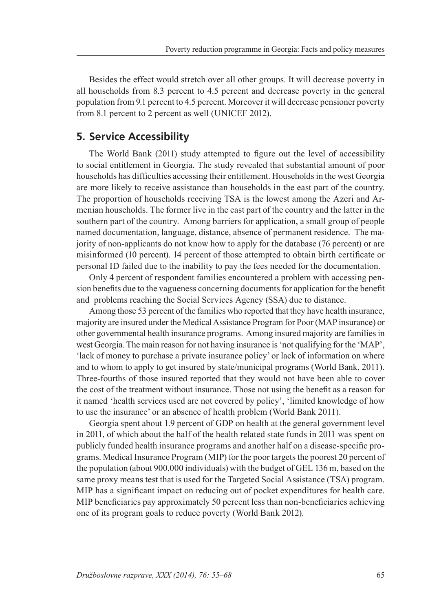Besides the effect would stretch over all other groups. It will decrease poverty in all households from 8.3 percent to 4.5 percent and decrease poverty in the general population from 9.1 percent to 4.5 percent. Moreover it will decrease pensioner poverty from 8.1 percent to 2 percent as well (UNICEF 2012).

#### **5. Service Accessibility**

The World Bank (2011) study attempted to figure out the level of accessibility to social entitlement in Georgia. The study revealed that substantial amount of poor households has difficulties accessing their entitlement. Households in the west Georgia are more likely to receive assistance than households in the east part of the country. The proportion of households receiving TSA is the lowest among the Azeri and Armenian households. The former live in the east part of the country and the latter in the southern part of the country. Among barriers for application, a small group of people named documentation, language, distance, absence of permanent residence. The majority of non-applicants do not know how to apply for the database (76 percent) or are misinformed (10 percent). 14 percent of those attempted to obtain birth certificate or personal ID failed due to the inability to pay the fees needed for the documentation.

Only 4 percent of respondent families encountered a problem with accessing pension benefits due to the vagueness concerning documents for application for the benefit and problems reaching the Social Services Agency (SSA) due to distance.

Among those 53 percent of the families who reported that they have health insurance, majority are insured under the Medical Assistance Program for Poor (MAP insurance) or other governmental health insurance programs. Among insured majority are families in west Georgia. The main reason for not having insurance is 'not qualifying for the 'MAP', 'lack of money to purchase a private insurance policy' or lack of information on where and to whom to apply to get insured by state/municipal programs (World Bank, 2011). Three-fourths of those insured reported that they would not have been able to cover the cost of the treatment without insurance. Those not using the benefit as a reason for it named 'health services used are not covered by policy', 'limited knowledge of how to use the insurance' or an absence of health problem (World Bank 2011).

Georgia spent about 1.9 percent of GDP on health at the general government level in 2011, of which about the half of the health related state funds in 2011 was spent on publicly funded health insurance programs and another half on a disease-specific programs. Medical Insurance Program (MIP) for the poor targets the poorest 20 percent of the population (about 900,000 individuals) with the budget of GEL 136 m, based on the same proxy means test that is used for the Targeted Social Assistance (TSA) program. MIP has a significant impact on reducing out of pocket expenditures for health care. MIP beneficiaries pay approximately 50 percent less than non-beneficiaries achieving one of its program goals to reduce poverty (World Bank 2012).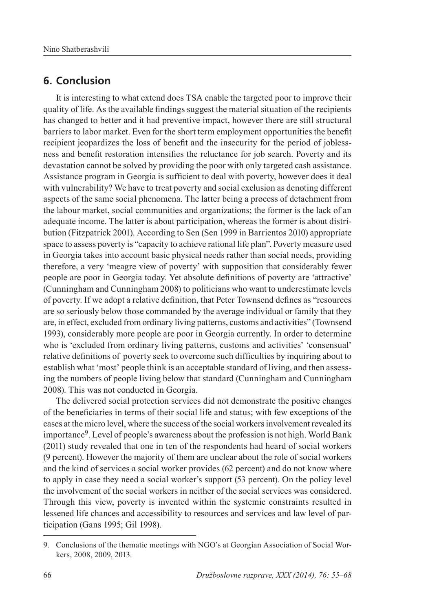#### **6. Conclusion**

It is interesting to what extend does TSA enable the targeted poor to improve their quality of life. As the available findings suggest the material situation of the recipients has changed to better and it had preventive impact, however there are still structural barriers to labor market. Even for the short term employment opportunities the benefit recipient jeopardizes the loss of benefit and the insecurity for the period of joblessness and benefit restoration intensifies the reluctance for job search. Poverty and its devastation cannot be solved by providing the poor with only targeted cash assistance. Assistance program in Georgia is sufficient to deal with poverty, however does it deal with vulnerability? We have to treat poverty and social exclusion as denoting different aspects of the same social phenomena. The latter being a process of detachment from the labour market, social communities and organizations; the former is the lack of an adequate income. The latter is about participation, whereas the former is about distribution (Fitzpatrick 2001). According to Sen (Sen 1999 in Barrientos 2010) appropriate space to assess poverty is "capacity to achieve rational life plan". Poverty measure used in Georgia takes into account basic physical needs rather than social needs, providing therefore, a very 'meagre view of poverty' with supposition that considerably fewer people are poor in Georgia today. Yet absolute definitions of poverty are 'attractive' (Cunningham and Cunningham 2008) to politicians who want to underestimate levels of poverty. If we adopt a relative definition, that Peter Townsend defines as "resources are so seriously below those commanded by the average individual or family that they are, in effect, excluded from ordinary living patterns, customs and activities" (Townsend 1993), considerably more people are poor in Georgia currently. In order to determine who is 'excluded from ordinary living patterns, customs and activities' 'consensual' relative definitions of poverty seek to overcome such difficulties by inquiring about to establish what 'most' people think is an acceptable standard of living, and then assessing the numbers of people living below that standard (Cunningham and Cunningham 2008). This was not conducted in Georgia.

The delivered social protection services did not demonstrate the positive changes of the beneficiaries in terms of their social life and status; with few exceptions of the cases at the micro level, where the success of the social workers involvement revealed its importance9. Level of people's awareness about the profession is not high. World Bank (2011) study revealed that one in ten of the respondents had heard of social workers (9 percent). However the majority of them are unclear about the role of social workers and the kind of services a social worker provides (62 percent) and do not know where to apply in case they need a social worker's support (53 percent). On the policy level the involvement of the social workers in neither of the social services was considered. Through this view, poverty is invented within the systemic constraints resulted in lessened life chances and accessibility to resources and services and law level of participation (Gans 1995; Gil 1998).

<sup>9.</sup> Conclusions of the thematic meetings with NGO's at Georgian Association of Social Workers, 2008, 2009, 2013.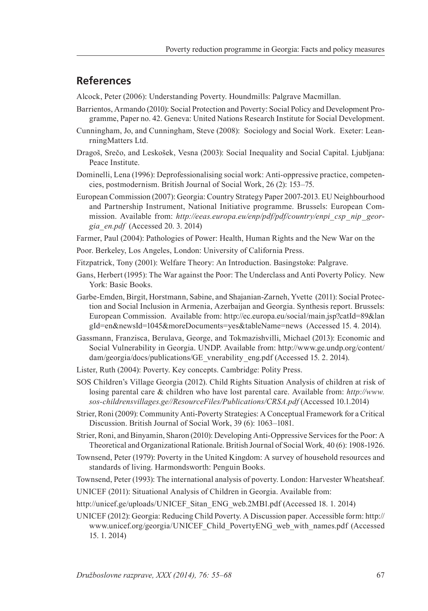#### **References**

Alcock, Peter (2006): Understanding Poverty. Houndmills: Palgrave Macmillan.

- Barrientos, Armando (2010): Social Protection and Poverty: Social Policy and Development Programme, Paper no. 42. Geneva: United Nations Research Institute for Social Development.
- Cunningham, Jo, and Cunningham, Steve (2008): Sociology and Social Work. Exeter: LeanrningMatters Ltd.
- Dragoš, Srečo, and Leskošek, Vesna (2003): Social Inequality and Social Capital. Ljubljana: Peace Institute.
- Dominelli, Lena (1996): Deprofessionalising social work: Anti-oppressive practice, competencies, postmodernism. British Journal of Social Work, 26 (2): 153–75.
- European Commission (2007): Georgia: Country Strategy Paper 2007-2013. EU Neighbourhood and Partnership Instrument, National Initiative programme. Brussels: European Commission. Available from: *http://eeas.europa.eu/enp/pdf/pdf/country/enpi\_csp\_nip\_georgia\_en.pdf* (Accessed 20. 3. 2014)

Farmer, Paul (2004): Pathologies of Power: Health, Human Rights and the New War on the

- Poor. Berkeley, Los Angeles, London: University of California Press.
- Fitzpatrick, Tony (2001): Welfare Theory: An Introduction. Basingstoke: Palgrave.
- Gans, Herbert (1995): The War against the Poor: The Underclass and Anti Poverty Policy. New York: Basic Books.
- Garbe-Emden, Birgit, Horstmann, Sabine, and Shajanian-Zarneh, Yvette (2011): Social Protection and Social Inclusion in Armenia, Azerbaijan and Georgia. Synthesis report. Brussels: European Commission. Available from: http://ec.europa.eu/social/main.jsp?catId=89&lan gId=en&newsId=1045&moreDocuments=yes&tableName=news (Accessed 15. 4. 2014).
- Gassmann, Franzisca, Berulava, George, and Tokmazishvilli, Michael (2013): Economic and Social Vulnerability in Georgia. UNDP. Available from: http://www.ge.undp.org/content/ dam/georgia/docs/publications/GE\_vnerability\_eng.pdf (Accessed 15. 2. 2014).
- Lister, Ruth (2004): Poverty. Key concepts. Cambridge: Polity Press.
- SOS Children's Village Georgia (2012). Child Rights Situation Analysis of children at risk of losing parental care & children who have lost parental care. Available from: *http://www. sos-childrensvillages.ge//ResourceFiles/Publications/CRSA.pdf* (Accessed 10.1.2014)
- Strier, Roni (2009): Community Anti-Poverty Strategies: A Conceptual Framework for a Critical Discussion. British Journal of Social Work, 39 (6): 1063–1081.
- Strier, Roni, and Binyamin, Sharon (2010): Developing Anti-Oppressive Services for the Poor: A Theoretical and Organizational Rationale. British Journal of Social Work*,* 40 (6): 1908-1926.
- Townsend, Peter (1979): Poverty in the United Kingdom: A survey of household resources and standards of living. Harmondsworth: Penguin Books.
- Townsend, Peter (1993): The international analysis of poverty. London: Harvester Wheatsheaf.
- UNICEF (2011): Situational Analysis of Children in Georgia. Available from:

http://unicef.ge/uploads/UNICEF\_Sitan\_ENG\_web.2MB1.pdf (Accessed 18. 1. 2014)

UNICEF (2012): Georgia: Reducing Child Poverty. A Discussion paper. Accessible form: http:// www.unicef.org/georgia/UNICEF Child PovertyENG web with names.pdf (Accessed 15. 1. 2014)